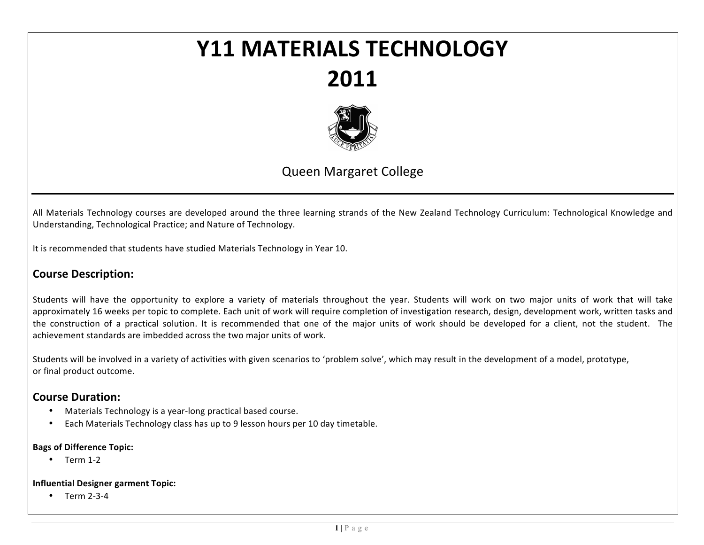# **Y11#MATERIALS#TECHNOLOGY 2011**



# Queen Margaret College

All Materials Technology courses are developed around the three learning strands of the New Zealand Technology Curriculum: Technological Knowledge and Understanding, Technological Practice; and Nature of Technology.

It is recommended that students have studied Materials Technology in Year 10.

# **Course Description:**

Students will have the opportunity to explore a variety of materials throughout the year. Students will work on two major units of work that will take approximately 16 weeks per topic to complete. Each unit of work will require completion of investigation research, design, development work, written tasks and the construction of a practical solution. It is recommended that one of the major units of work should be developed for a client, not the student. The achievement standards are imbedded across the two major units of work.

Students will be involved in a variety of activities with given scenarios to 'problem solve', which may result in the development of a model, prototype, or final product outcome.

## **Course Duration:**

- Materials Technology is a year-long practical based course.
- Each Materials Technology class has up to 9 lesson hours per 10 day timetable.

#### **Bags of Difference Topic:**

 $\bullet$  Term 1-2

#### **Influential Designer garment Topic:**

Term 2-3-4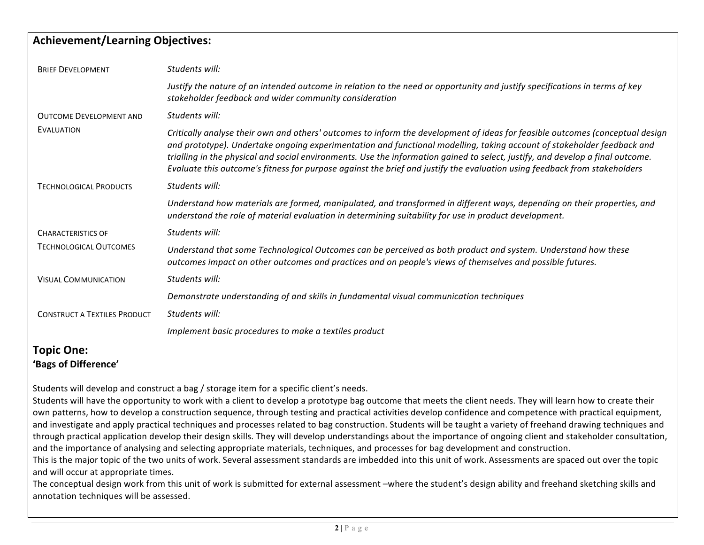# **Achievement/Learning#Objectives:**

| <b>BRIEF DEVELOPMENT</b>            | Students will:                                                                                                                                                                                                                                                                                                                                                                                                                                                                                                         |
|-------------------------------------|------------------------------------------------------------------------------------------------------------------------------------------------------------------------------------------------------------------------------------------------------------------------------------------------------------------------------------------------------------------------------------------------------------------------------------------------------------------------------------------------------------------------|
|                                     | Justify the nature of an intended outcome in relation to the need or opportunity and justify specifications in terms of key<br>stakeholder feedback and wider community consideration                                                                                                                                                                                                                                                                                                                                  |
| <b>OUTCOME DEVELOPMENT AND</b>      | Students will:                                                                                                                                                                                                                                                                                                                                                                                                                                                                                                         |
| <b>EVALUATION</b>                   | Critically analyse their own and others' outcomes to inform the development of ideas for feasible outcomes (conceptual design<br>and prototype). Undertake ongoing experimentation and functional modelling, taking account of stakeholder feedback and<br>trialling in the physical and social environments. Use the information gained to select, justify, and develop a final outcome.<br>Evaluate this outcome's fitness for purpose against the brief and justify the evaluation using feedback from stakeholders |
| <b>TECHNOLOGICAL PRODUCTS</b>       | Students will:                                                                                                                                                                                                                                                                                                                                                                                                                                                                                                         |
|                                     | Understand how materials are formed, manipulated, and transformed in different ways, depending on their properties, and<br>understand the role of material evaluation in determining suitability for use in product development.                                                                                                                                                                                                                                                                                       |
| <b>CHARACTERISTICS OF</b>           | Students will:                                                                                                                                                                                                                                                                                                                                                                                                                                                                                                         |
| <b>TECHNOLOGICAL OUTCOMES</b>       | Understand that some Technological Outcomes can be perceived as both product and system. Understand how these<br>outcomes impact on other outcomes and practices and on people's views of themselves and possible futures.                                                                                                                                                                                                                                                                                             |
| <b>VISUAL COMMUNICATION</b>         | Students will:                                                                                                                                                                                                                                                                                                                                                                                                                                                                                                         |
|                                     | Demonstrate understanding of and skills in fundamental visual communication techniques                                                                                                                                                                                                                                                                                                                                                                                                                                 |
| <b>CONSTRUCT A TEXTILES PRODUCT</b> | Students will:                                                                                                                                                                                                                                                                                                                                                                                                                                                                                                         |
|                                     | Implement basic procedures to make a textiles product                                                                                                                                                                                                                                                                                                                                                                                                                                                                  |
| $\blacksquare$                      |                                                                                                                                                                                                                                                                                                                                                                                                                                                                                                                        |

### **Topic#One:** 'Bags of Difference'

Students will develop and construct a bag / storage item for a specific client's needs.

Students will have the opportunity to work with a client to develop a prototype bag outcome that meets the client needs. They will learn how to create their own patterns, how to develop a construction sequence, through testing and practical activities develop confidence and competence with practical equipment, and investigate and apply practical techniques and processes related to bag construction. Students will be taught a variety of freehand drawing techniques and through practical application develop their design skills. They will develop understandings about the importance of ongoing client and stakeholder consultation, and the importance of analysing and selecting appropriate materials, techniques, and processes for bag development and construction.

This is the major topic of the two units of work. Several assessment standards are imbedded into this unit of work. Assessments are spaced out over the topic and will occur at appropriate times.

The conceptual design work from this unit of work is submitted for external assessment –where the student's design ability and freehand sketching skills and annotation techniques will be assessed.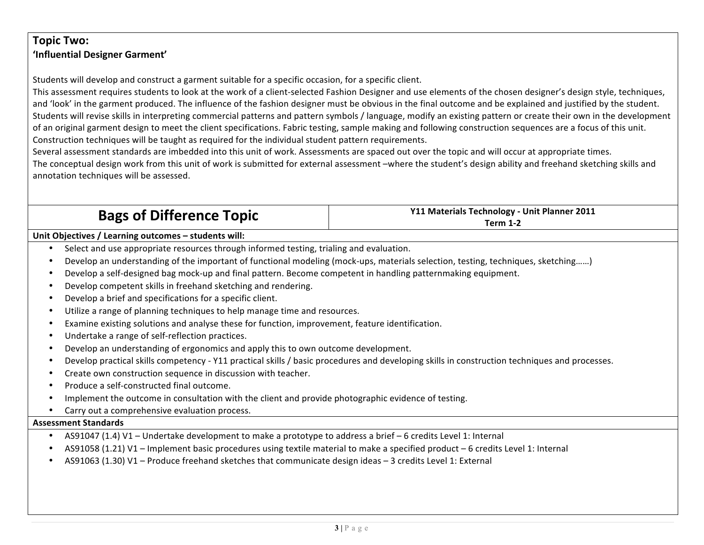# **Topic#Two:** 'Influential Designer Garment'

Students will develop and construct a garment suitable for a specific occasion, for a specific client.

This assessment requires students to look at the work of a client-selected Fashion Designer and use elements of the chosen designer's design style, techniques, and 'look' in the garment produced. The influence of the fashion designer must be obvious in the final outcome and be explained and justified by the student. Students will revise skills in interpreting commercial patterns and pattern symbols / language, modify an existing pattern or create their own in the development of an original garment design to meet the client specifications. Fabric testing, sample making and following construction sequences are a focus of this unit. Construction techniques will be taught as required for the individual student pattern requirements.

Several assessment standards are imbedded into this unit of work. Assessments are spaced out over the topic and will occur at appropriate times.

The conceptual design work from this unit of work is submitted for external assessment –where the student's design ability and freehand sketching skills and annotation techniques will be assessed.

|  | <b>Bags of Difference Topic</b> |  |
|--|---------------------------------|--|
|--|---------------------------------|--|

**Y11 Materials Technology - Unit Planner 2011 Term 1-2** 

**Unit Objectives / Learning outcomes – students will:** 

- Select and use appropriate resources through informed testing, trialing and evaluation.
- Develop an understanding of the important of functional modeling (mock-ups, materials selection, testing, techniques, sketching……)
- Develop a self-designed bag mock-up and final pattern. Become competent in handling patternmaking equipment.
- Develop competent skills in freehand sketching and rendering.
- Develop a brief and specifications for a specific client.
- Utilize a range of planning techniques to help manage time and resources.
- Examine existing solutions and analyse these for function, improvement, feature identification.
- Undertake a range of self-reflection practices.
- Develop an understanding of ergonomics and apply this to own outcome development.
- Develop practical skills competency Y11 practical skills / basic procedures and developing skills in construction techniques and processes.
- Create own construction sequence in discussion with teacher.
- Produce a self-constructed final outcome.
- Implement the outcome in consultation with the client and provide photographic evidence of testing.
- Carry out a comprehensive evaluation process.

### **Assessment#Standards**

- AS91047 (1.4) V1 Undertake development to make a prototype to address a brief 6 credits Level 1: Internal
- AS91058 (1.21) V1 Implement basic procedures using textile material to make a specified product 6 credits Level 1: Internal
- AS91063 (1.30) V1 Produce freehand sketches that communicate design ideas 3 credits Level 1: External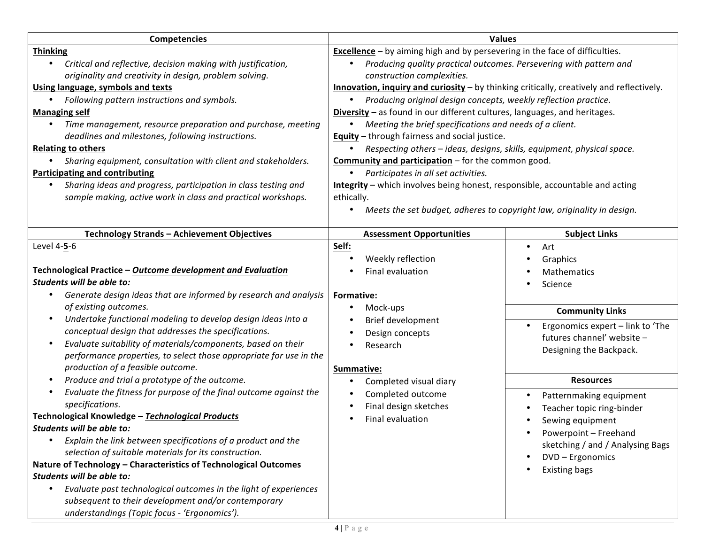| <b>Competencies</b>                                                                                                                                                                                                                                                                                                                                                                                                                                                                                                                                                                                                                                             | <b>Values</b>                                                                                                                                                                                                                                                                                                                                                                                                                                                                                                                                                                                                                                                                                                                                                                                                                                                                                                                               |                                                                                                                                                                                      |  |
|-----------------------------------------------------------------------------------------------------------------------------------------------------------------------------------------------------------------------------------------------------------------------------------------------------------------------------------------------------------------------------------------------------------------------------------------------------------------------------------------------------------------------------------------------------------------------------------------------------------------------------------------------------------------|---------------------------------------------------------------------------------------------------------------------------------------------------------------------------------------------------------------------------------------------------------------------------------------------------------------------------------------------------------------------------------------------------------------------------------------------------------------------------------------------------------------------------------------------------------------------------------------------------------------------------------------------------------------------------------------------------------------------------------------------------------------------------------------------------------------------------------------------------------------------------------------------------------------------------------------------|--------------------------------------------------------------------------------------------------------------------------------------------------------------------------------------|--|
| <b>Thinking</b><br>Critical and reflective, decision making with justification,<br>originality and creativity in design, problem solving.<br>Using language, symbols and texts<br>Following pattern instructions and symbols.<br><b>Managing self</b><br>Time management, resource preparation and purchase, meeting<br>$\bullet$<br>deadlines and milestones, following instructions.<br><b>Relating to others</b><br>Sharing equipment, consultation with client and stakeholders.<br><b>Participating and contributing</b><br>Sharing ideas and progress, participation in class testing and<br>sample making, active work in class and practical workshops. | <b>Excellence</b> - by aiming high and by persevering in the face of difficulties.<br>Producing quality practical outcomes. Persevering with pattern and<br>construction complexities.<br>Innovation, inquiry and curiosity - by thinking critically, creatively and reflectively.<br>Producing original design concepts, weekly reflection practice.<br>$\bullet$<br>Diversity - as found in our different cultures, languages, and heritages.<br>Meeting the brief specifications and needs of a client.<br>$\bullet$<br><b>Equity</b> - through fairness and social justice.<br>Respecting others - ideas, designs, skills, equipment, physical space.<br>Community and participation - for the common good.<br>Participates in all set activities.<br>Integrity - which involves being honest, responsible, accountable and acting<br>ethically.<br>Meets the set budget, adheres to copyright law, originality in design.<br>$\bullet$ |                                                                                                                                                                                      |  |
| Technology Strands - Achievement Objectives                                                                                                                                                                                                                                                                                                                                                                                                                                                                                                                                                                                                                     | <b>Assessment Opportunities</b>                                                                                                                                                                                                                                                                                                                                                                                                                                                                                                                                                                                                                                                                                                                                                                                                                                                                                                             | <b>Subject Links</b>                                                                                                                                                                 |  |
| Level 4-5-6<br>Technological Practice - Outcome development and Evaluation<br>Students will be able to:<br>Generate design ideas that are informed by research and analysis<br>of existing outcomes.<br>Undertake functional modeling to develop design ideas into a<br>conceptual design that addresses the specifications.<br>Evaluate suitability of materials/components, based on their<br>$\bullet$<br>performance properties, to select those appropriate for use in the<br>production of a feasible outcome.                                                                                                                                            | Self:<br>Weekly reflection<br>Final evaluation<br>Formative:<br>Mock-ups<br>Brief development<br>Design concepts<br>Research<br>Summative:                                                                                                                                                                                                                                                                                                                                                                                                                                                                                                                                                                                                                                                                                                                                                                                                  | Art<br>$\bullet$<br>Graphics<br><b>Mathematics</b><br>Science<br><b>Community Links</b><br>Ergonomics expert - link to 'The<br>futures channel' website -<br>Designing the Backpack. |  |
| Produce and trial a prototype of the outcome.<br>$\bullet$                                                                                                                                                                                                                                                                                                                                                                                                                                                                                                                                                                                                      | Completed visual diary                                                                                                                                                                                                                                                                                                                                                                                                                                                                                                                                                                                                                                                                                                                                                                                                                                                                                                                      | <b>Resources</b>                                                                                                                                                                     |  |
| Evaluate the fitness for purpose of the final outcome against the<br>specifications.<br>Technological Knowledge - Technological Products<br>Students will be able to:<br>Explain the link between specifications of a product and the<br>selection of suitable materials for its construction.<br>Nature of Technology - Characteristics of Technological Outcomes<br>Students will be able to:<br>Evaluate past technological outcomes in the light of experiences<br>subsequent to their development and/or contemporary<br>understandings (Topic focus - 'Ergonomics').                                                                                      | Completed outcome<br>Final design sketches<br>Final evaluation                                                                                                                                                                                                                                                                                                                                                                                                                                                                                                                                                                                                                                                                                                                                                                                                                                                                              | Patternmaking equipment<br>Teacher topic ring-binder<br>Sewing equipment<br>Powerpoint - Freehand<br>sketching / and / Analysing Bags<br>DVD - Ergonomics<br><b>Existing bags</b>    |  |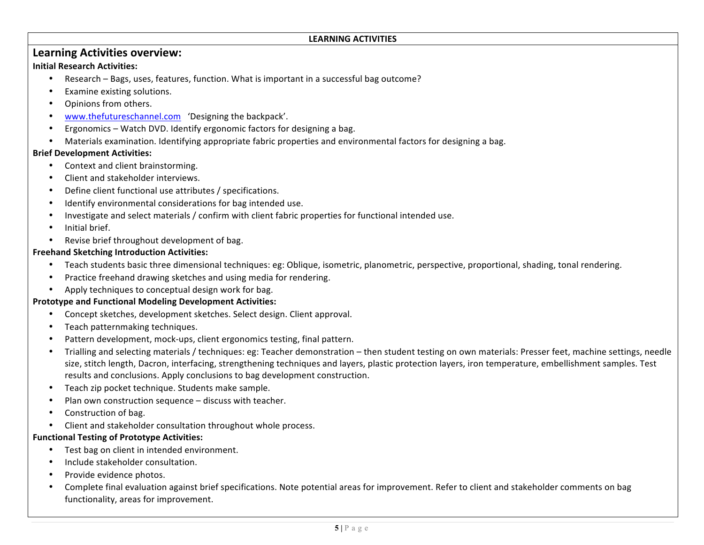#### LEARNING ACTIVITIES

# **Learning Activities overview:**

#### **Initial Research Activities:**

- Research Bags, uses, features, function. What is important in a successful bag outcome?
- Examine existing solutions.
- Opinions from others.
- www.thefutureschannel.com 'Designing the backpack'.
- Ergonomics Watch DVD. Identify ergonomic factors for designing a bag.
- Materials examination. Identifying appropriate fabric properties and environmental factors for designing a bag.

#### **Brief Development Activities:**

- Context and client brainstorming.
- Client and stakeholder interviews.
- Define client functional use attributes / specifications.
- Identify environmental considerations for bag intended use.
- Investigate and select materials / confirm with client fabric properties for functional intended use.
- Initial brief.
- Revise brief throughout development of bag.

#### **Freehand Sketching Introduction Activities:**

- Teach students basic three dimensional techniques: eg: Oblique, isometric, planometric, perspective, proportional, shading, tonal rendering.
- Practice freehand drawing sketches and using media for rendering.
- Apply techniques to conceptual design work for bag.

#### **Prototype and Functional Modeling Development Activities:**

- Concept sketches, development sketches. Select design. Client approval.
- Teach patternmaking techniques.
- Pattern development, mock-ups, client ergonomics testing, final pattern.
- Trialling and selecting materials / techniques: eg: Teacher demonstration then student testing on own materials: Presser feet, machine settings, needle size, stitch length, Dacron, interfacing, strengthening techniques and layers, plastic protection layers, iron temperature, embellishment samples. Test results and conclusions. Apply conclusions to bag development construction.
- Teach zip pocket technique. Students make sample.
- Plan own construction sequence discuss with teacher.
- $\bullet$  Construction of bag.
- Client and stakeholder consultation throughout whole process.

#### **Functional Testing of Prototype Activities:**

- Test bag on client in intended environment.
- Include stakeholder consultation.
- Provide evidence photos.
- Complete final evaluation against brief specifications. Note potential areas for improvement. Refer to client and stakeholder comments on bag functionality, areas for improvement.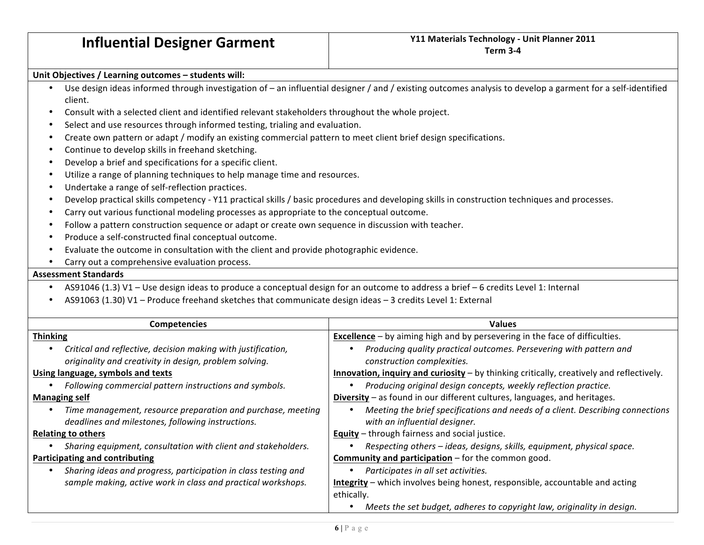#### Unit Objectives / Learning outcomes – students will:

- Use design ideas informed through investigation of an influential designer / and / existing outcomes analysis to develop a garment for a self-identified client.
- Consult with a selected client and identified relevant stakeholders throughout the whole project.
- Select and use resources through informed testing, trialing and evaluation.
- Create own pattern or adapt / modify an existing commercial pattern to meet client brief design specifications.
- Continue to develop skills in freehand sketching.
- Develop a brief and specifications for a specific client.
- Utilize a range of planning techniques to help manage time and resources.
- Undertake a range of self-reflection practices.
- Develop practical skills competency Y11 practical skills / basic procedures and developing skills in construction techniques and processes.
- Carry out various functional modeling processes as appropriate to the conceptual outcome.
- Follow a pattern construction sequence or adapt or create own sequence in discussion with teacher.
- Produce a self-constructed final conceptual outcome.
- Evaluate the outcome in consultation with the client and provide photographic evidence.
- Carry out a comprehensive evaluation process.

#### **Assessment#Standards**

- AS91046 (1.3) V1 Use design ideas to produce a conceptual design for an outcome to address a brief 6 credits Level 1: Internal
- AS91063 (1.30) V1 Produce freehand sketches that communicate design ideas 3 credits Level 1: External

| <b>Competencies</b>                                                                                              | <b>Values</b>                                                                                                   |  |  |
|------------------------------------------------------------------------------------------------------------------|-----------------------------------------------------------------------------------------------------------------|--|--|
| <b>Thinking</b>                                                                                                  | <b>Excellence</b> - by aiming high and by persevering in the face of difficulties.                              |  |  |
| Critical and reflective, decision making with justification,                                                     | Producing quality practical outcomes. Persevering with pattern and                                              |  |  |
| originality and creativity in design, problem solving.                                                           | construction complexities.                                                                                      |  |  |
| Using language, symbols and texts                                                                                | Innovation, inquiry and curiosity - by thinking critically, creatively and reflectively.                        |  |  |
| Following commercial pattern instructions and symbols.                                                           | Producing original design concepts, weekly reflection practice.                                                 |  |  |
| <b>Managing self</b>                                                                                             | Diversity – as found in our different cultures, languages, and heritages.                                       |  |  |
| Time management, resource preparation and purchase, meeting<br>deadlines and milestones, following instructions. | Meeting the brief specifications and needs of a client. Describing connections<br>with an influential designer. |  |  |
| <b>Relating to others</b>                                                                                        | <b>Equity</b> - through fairness and social justice.                                                            |  |  |
| Sharing equipment, consultation with client and stakeholders.                                                    | Respecting others - ideas, designs, skills, equipment, physical space.                                          |  |  |
| Participating and contributing                                                                                   | Community and participation - for the common good.                                                              |  |  |
| Sharing ideas and progress, participation in class testing and                                                   | Participates in all set activities.                                                                             |  |  |
| sample making, active work in class and practical workshops.                                                     | Integrity – which involves being honest, responsible, accountable and acting                                    |  |  |
|                                                                                                                  | ethically.                                                                                                      |  |  |
|                                                                                                                  | Meets the set budget, adheres to copyright law, originality in design.                                          |  |  |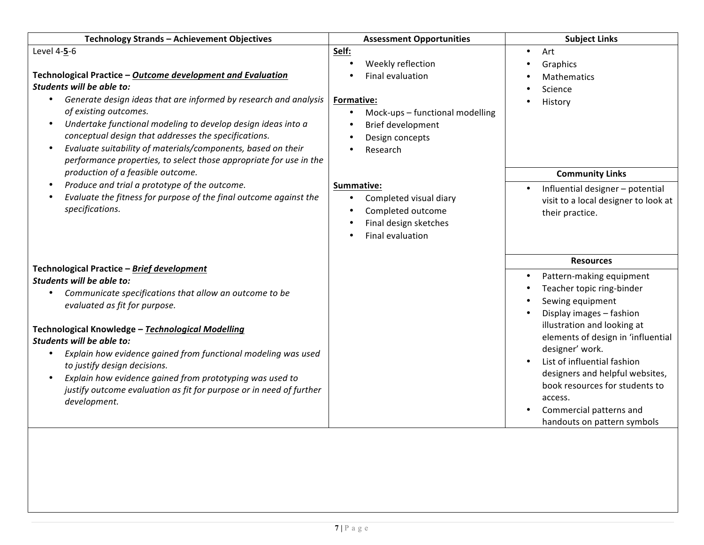| Technology Strands - Achievement Objectives                                                                                                                                                                                                                                                                                                                                                                                                                                                              | <b>Assessment Opportunities</b>                                                                                                                                         | <b>Subject Links</b>                                                                                                                                                                                                                                                                                                                                                                       |
|----------------------------------------------------------------------------------------------------------------------------------------------------------------------------------------------------------------------------------------------------------------------------------------------------------------------------------------------------------------------------------------------------------------------------------------------------------------------------------------------------------|-------------------------------------------------------------------------------------------------------------------------------------------------------------------------|--------------------------------------------------------------------------------------------------------------------------------------------------------------------------------------------------------------------------------------------------------------------------------------------------------------------------------------------------------------------------------------------|
| Level 4-5-6<br>Technological Practice - Outcome development and Evaluation<br>Students will be able to:<br>Generate design ideas that are informed by research and analysis<br>of existing outcomes.<br>Undertake functional modeling to develop design ideas into a<br>$\bullet$<br>conceptual design that addresses the specifications.<br>Evaluate suitability of materials/components, based on their<br>performance properties, to select those appropriate for use in the                          | Self:<br>Weekly reflection<br>Final evaluation<br><b>Formative:</b><br>Mock-ups - functional modelling<br>$\bullet$<br>Brief development<br>Design concepts<br>Research | Art<br>$\bullet$<br>Graphics<br><b>Mathematics</b><br>Science<br>History                                                                                                                                                                                                                                                                                                                   |
| production of a feasible outcome.<br>Produce and trial a prototype of the outcome.<br>$\bullet$<br>Evaluate the fitness for purpose of the final outcome against the<br>specifications.                                                                                                                                                                                                                                                                                                                  | Summative:<br>Completed visual diary<br>$\bullet$<br>Completed outcome<br>Final design sketches<br>$\bullet$<br>Final evaluation<br>$\bullet$                           | <b>Community Links</b><br>Influential designer - potential<br>visit to a local designer to look at<br>their practice.                                                                                                                                                                                                                                                                      |
| Technological Practice - Brief development<br>Students will be able to:<br>Communicate specifications that allow an outcome to be<br>evaluated as fit for purpose.<br>Technological Knowledge - Technological Modelling<br>Students will be able to:<br>Explain how evidence gained from functional modeling was used<br>to justify design decisions.<br>Explain how evidence gained from prototyping was used to<br>justify outcome evaluation as fit for purpose or in need of further<br>development. |                                                                                                                                                                         | <b>Resources</b><br>Pattern-making equipment<br>Teacher topic ring-binder<br>Sewing equipment<br>Display images - fashion<br>illustration and looking at<br>elements of design in 'influential<br>designer' work.<br>List of influential fashion<br>designers and helpful websites,<br>book resources for students to<br>access.<br>Commercial patterns and<br>handouts on pattern symbols |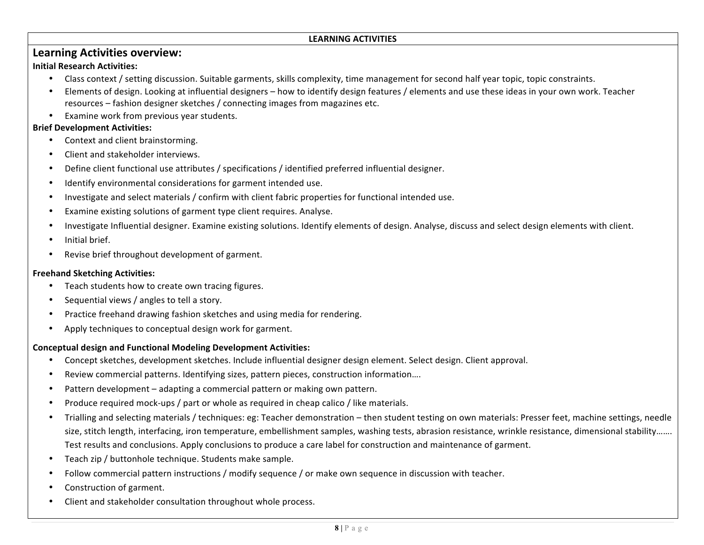#### LEARNING ACTIVITIES

# **Learning Activities overview:**

#### **Initial Research Activities:**

- Class context / setting discussion. Suitable garments, skills complexity, time management for second half year topic, topic constraints.
- Elements of design. Looking at influential designers how to identify design features / elements and use these ideas in your own work. Teacher resources – fashion designer sketches / connecting images from magazines etc.
- Examine work from previous year students.

#### **Brief Development Activities:**

- Context and client brainstorming.
- Client and stakeholder interviews.
- Define client functional use attributes / specifications / identified preferred influential designer.
- Identify environmental considerations for garment intended use.
- Investigate and select materials / confirm with client fabric properties for functional intended use.
- Examine existing solutions of garment type client requires. Analyse.
- Investigate Influential designer. Examine existing solutions. Identify elements of design. Analyse, discuss and select design elements with client.
- Initial brief.
- Revise brief throughout development of garment.

#### **Freehand Sketching Activities:**

- Teach students how to create own tracing figures.
- Sequential views / angles to tell a story.
- Practice freehand drawing fashion sketches and using media for rendering.
- Apply techniques to conceptual design work for garment.

#### **Conceptual#design and#Functional#Modeling#Development Activities:**

- Concept sketches, development sketches. Include influential designer design element. Select design. Client approval.
- Review commercial patterns. Identifying sizes, pattern pieces, construction information....
- Pattern development adapting a commercial pattern or making own pattern.
- Produce required mock-ups / part or whole as required in cheap calico / like materials.
- Trialling and selecting materials / techniques: eg: Teacher demonstration then student testing on own materials: Presser feet, machine settings, needle size, stitch length, interfacing, iron temperature, embellishment samples, washing tests, abrasion resistance, wrinkle resistance, dimensional stability……. Test results and conclusions. Apply conclusions to produce a care label for construction and maintenance of garment.
- Teach zip / buttonhole technique. Students make sample.
- Follow commercial pattern instructions / modify sequence / or make own sequence in discussion with teacher.
- Construction of garment.
- Client and stakeholder consultation throughout whole process.